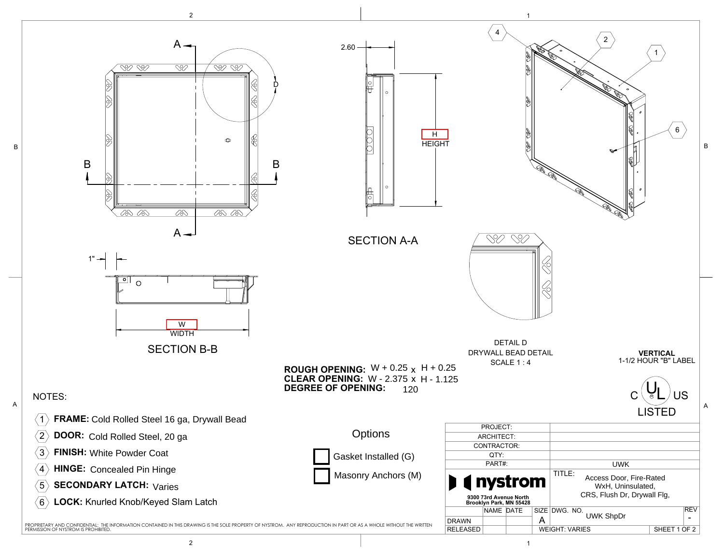

B

2 and  $\overline{1}$  1